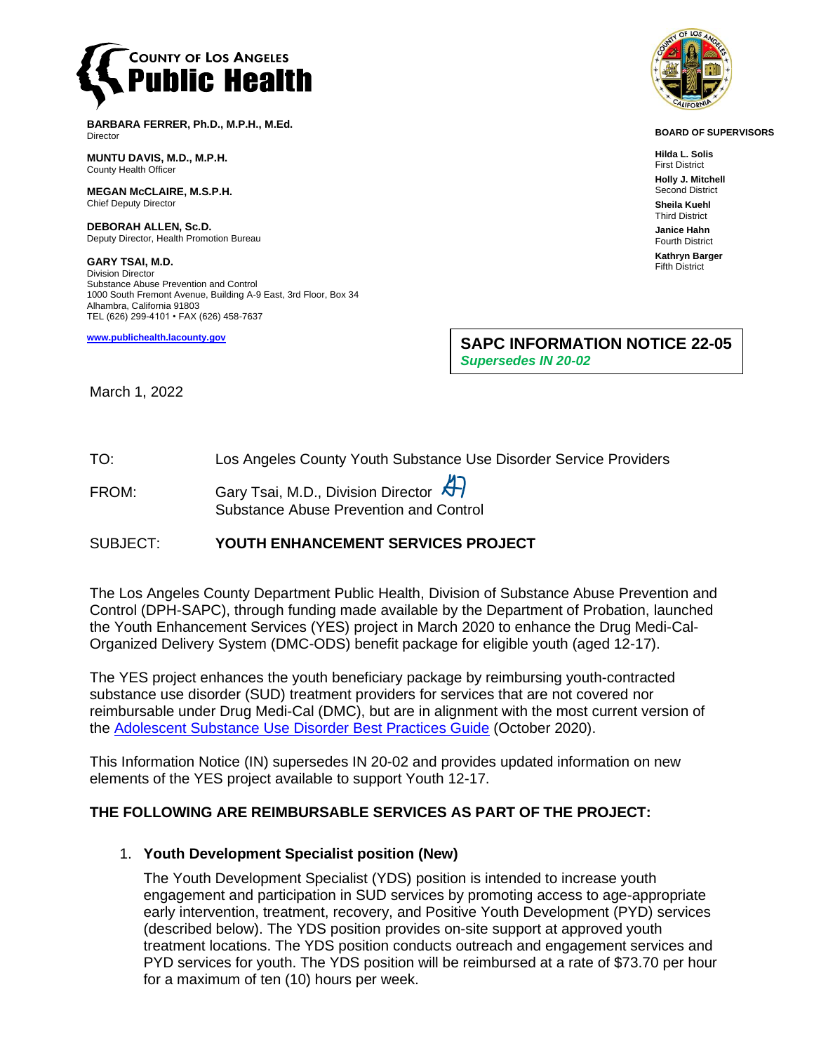

**BARBARA FERRER, Ph.D., M.P.H., M.Ed. Director** 

**MUNTU DAVIS, M.D., M.P.H.** County Health Officer

**MEGAN McCLAIRE, M.S.P.H.** Chief Deputy Director

**DEBORAH ALLEN, Sc.D.** Deputy Director, Health Promotion Bureau

**GARY TSAI, M.D.** Division Director Substance Abuse Prevention and Control 1000 South Fremont Avenue, Building A-9 East, 3rd Floor, Box 34 Alhambra, California 91803 TEL (626) 299-4101 • FAX (626) 458-7637

**[www.publichealth.lacounty.gov](http://www.publichealth.lacounty.gov/)**



**BOARD OF SUPERVISORS**

**Hilda L. Solis** First District

**Holly J. Mitchell** Second District

**Sheila Kuehl** Third District **Janice Hahn** Fourth District

**Kathryn Barger** Fifth District

**SAPC INFORMATION NOTICE 22-05**

*Supersedes IN 20-02*

#### March 1, 2022

TO: Los Angeles County Youth Substance Use Disorder Service Providers

FROM: Gary Tsai, M.D., Division Director Substance Abuse Prevention and Control

# SUBJECT: **YOUTH ENHANCEMENT SERVICES PROJECT**

The Los Angeles County Department Public Health, Division of Substance Abuse Prevention and Control (DPH-SAPC), through funding made available by the Department of Probation, launched the Youth Enhancement Services (YES) project in March 2020 to enhance the Drug Medi-Cal-Organized Delivery System (DMC-ODS) benefit package for eligible youth (aged 12-17).

The YES project enhances the youth beneficiary package by reimbursing youth-contracted substance use disorder (SUD) treatment providers for services that are not covered nor reimbursable under Drug Medi-Cal (DMC), but are in alignment with the most current version of the [Adolescent Substance Use Disorder Best Practices Guide](https://www.dhcs.ca.gov/Documents/CSD_CMHCS/Adol%20Best%20Practices%20Guide/AdolBestPracGuideOCTOBER2020.pdf) (October 2020).

This Information Notice (IN) supersedes IN 20-02 and provides updated information on new elements of the YES project available to support Youth 12-17.

# **THE FOLLOWING ARE REIMBURSABLE SERVICES AS PART OF THE PROJECT:**

#### 1. **Youth Development Specialist position (New)**

The Youth Development Specialist (YDS) position is intended to increase youth engagement and participation in SUD services by promoting access to age-appropriate early intervention, treatment, recovery, and Positive Youth Development (PYD) services (described below). The YDS position provides on-site support at approved youth treatment locations. The YDS position conducts outreach and engagement services and PYD services for youth. The YDS position will be reimbursed at a rate of \$73.70 per hour for a maximum of ten (10) hours per week.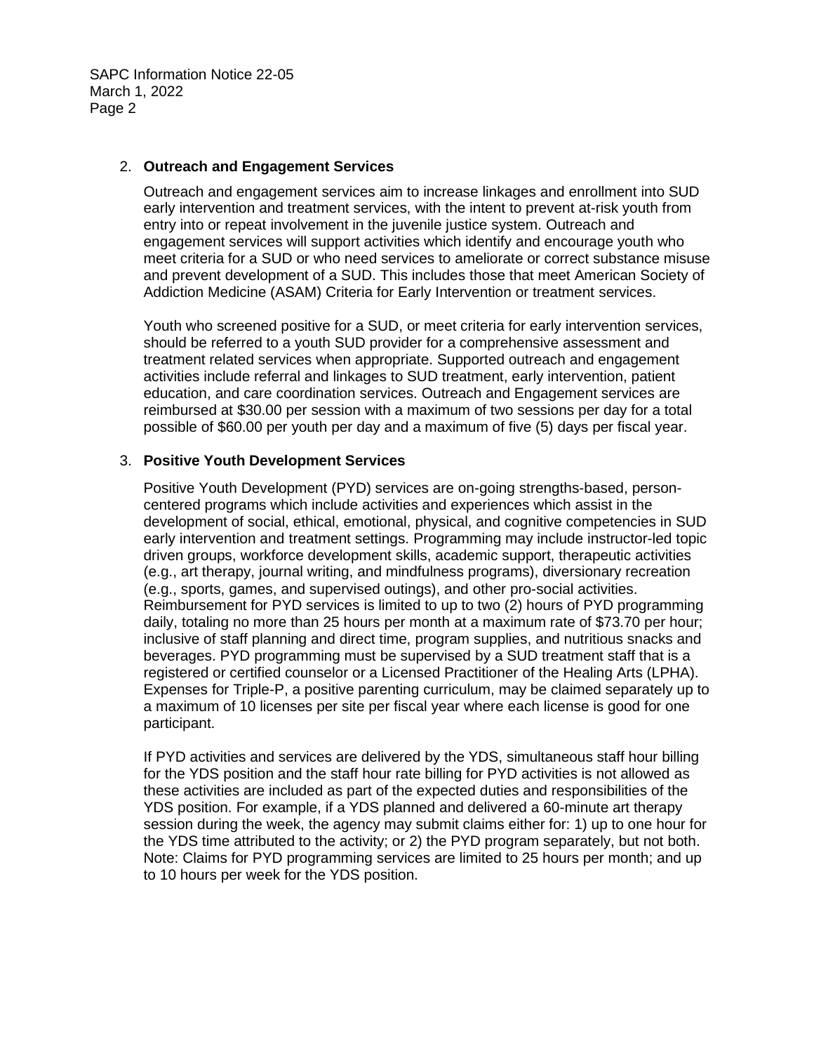SAPC Information Notice 22-05 March 1, 2022 Page 2

#### 2. **Outreach and Engagement Services**

Outreach and engagement services aim to increase linkages and enrollment into SUD early intervention and treatment services, with the intent to prevent at-risk youth from entry into or repeat involvement in the juvenile justice system. Outreach and engagement services will support activities which identify and encourage youth who meet criteria for a SUD or who need services to ameliorate or correct substance misuse and prevent development of a SUD. This includes those that meet American Society of Addiction Medicine (ASAM) Criteria for Early Intervention or treatment services.

Youth who screened positive for a SUD, or meet criteria for early intervention services, should be referred to a youth SUD provider for a comprehensive assessment and treatment related services when appropriate. Supported outreach and engagement activities include referral and linkages to SUD treatment, early intervention, patient education, and care coordination services. Outreach and Engagement services are reimbursed at \$30.00 per session with a maximum of two sessions per day for a total possible of \$60.00 per youth per day and a maximum of five (5) days per fiscal year.

#### 3. **Positive Youth Development Services**

Positive Youth Development (PYD) services are on-going strengths-based, personcentered programs which include activities and experiences which assist in the development of social, ethical, emotional, physical, and cognitive competencies in SUD early intervention and treatment settings. Programming may include instructor-led topic driven groups, workforce development skills, academic support, therapeutic activities (e.g., art therapy, journal writing, and mindfulness programs), diversionary recreation (e.g., sports, games, and supervised outings), and other pro-social activities. Reimbursement for PYD services is limited to up to two (2) hours of PYD programming daily, totaling no more than 25 hours per month at a maximum rate of \$73.70 per hour; inclusive of staff planning and direct time, program supplies, and nutritious snacks and beverages. PYD programming must be supervised by a SUD treatment staff that is a registered or certified counselor or a Licensed Practitioner of the Healing Arts (LPHA). Expenses for Triple-P, a positive parenting curriculum, may be claimed separately up to a maximum of 10 licenses per site per fiscal year where each license is good for one participant.

If PYD activities and services are delivered by the YDS, simultaneous staff hour billing for the YDS position and the staff hour rate billing for PYD activities is not allowed as these activities are included as part of the expected duties and responsibilities of the YDS position. For example, if a YDS planned and delivered a 60-minute art therapy session during the week, the agency may submit claims either for: 1) up to one hour for the YDS time attributed to the activity; or 2) the PYD program separately, but not both. Note: Claims for PYD programming services are limited to 25 hours per month; and up to 10 hours per week for the YDS position.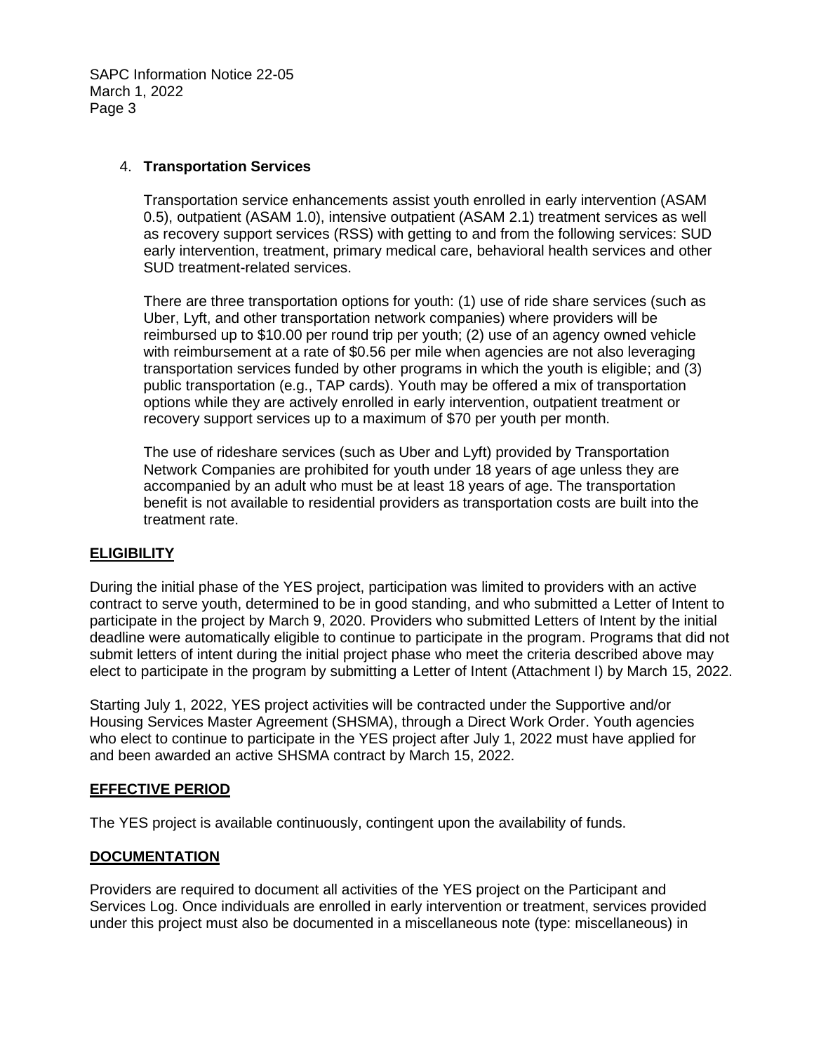SAPC Information Notice 22-05 March 1, 2022 Page 3

#### 4. **Transportation Services**

Transportation service enhancements assist youth enrolled in early intervention (ASAM 0.5), outpatient (ASAM 1.0), intensive outpatient (ASAM 2.1) treatment services as well as recovery support services (RSS) with getting to and from the following services: SUD early intervention, treatment, primary medical care, behavioral health services and other SUD treatment-related services.

There are three transportation options for youth: (1) use of ride share services (such as Uber, Lyft, and other transportation network companies) where providers will be reimbursed up to \$10.00 per round trip per youth; (2) use of an agency owned vehicle with reimbursement at a rate of \$0.56 per mile when agencies are not also leveraging transportation services funded by other programs in which the youth is eligible; and (3) public transportation (e.g., TAP cards). Youth may be offered a mix of transportation options while they are actively enrolled in early intervention, outpatient treatment or recovery support services up to a maximum of \$70 per youth per month.

The use of rideshare services (such as Uber and Lyft) provided by Transportation Network Companies are prohibited for youth under 18 years of age unless they are accompanied by an adult who must be at least 18 years of age. The transportation benefit is not available to residential providers as transportation costs are built into the treatment rate.

# **ELIGIBILITY**

During the initial phase of the YES project, participation was limited to providers with an active contract to serve youth, determined to be in good standing, and who submitted a Letter of Intent to participate in the project by March 9, 2020. Providers who submitted Letters of Intent by the initial deadline were automatically eligible to continue to participate in the program. Programs that did not submit letters of intent during the initial project phase who meet the criteria described above may elect to participate in the program by submitting a Letter of Intent (Attachment I) by March 15, 2022.

Starting July 1, 2022, YES project activities will be contracted under the Supportive and/or Housing Services Master Agreement (SHSMA), through a Direct Work Order. Youth agencies who elect to continue to participate in the YES project after July 1, 2022 must have applied for and been awarded an active SHSMA contract by March 15, 2022.

# **EFFECTIVE PERIOD**

The YES project is available continuously, contingent upon the availability of funds.

#### **DOCUMENTATION**

Providers are required to document all activities of the YES project on the Participant and Services Log. Once individuals are enrolled in early intervention or treatment, services provided under this project must also be documented in a miscellaneous note (type: miscellaneous) in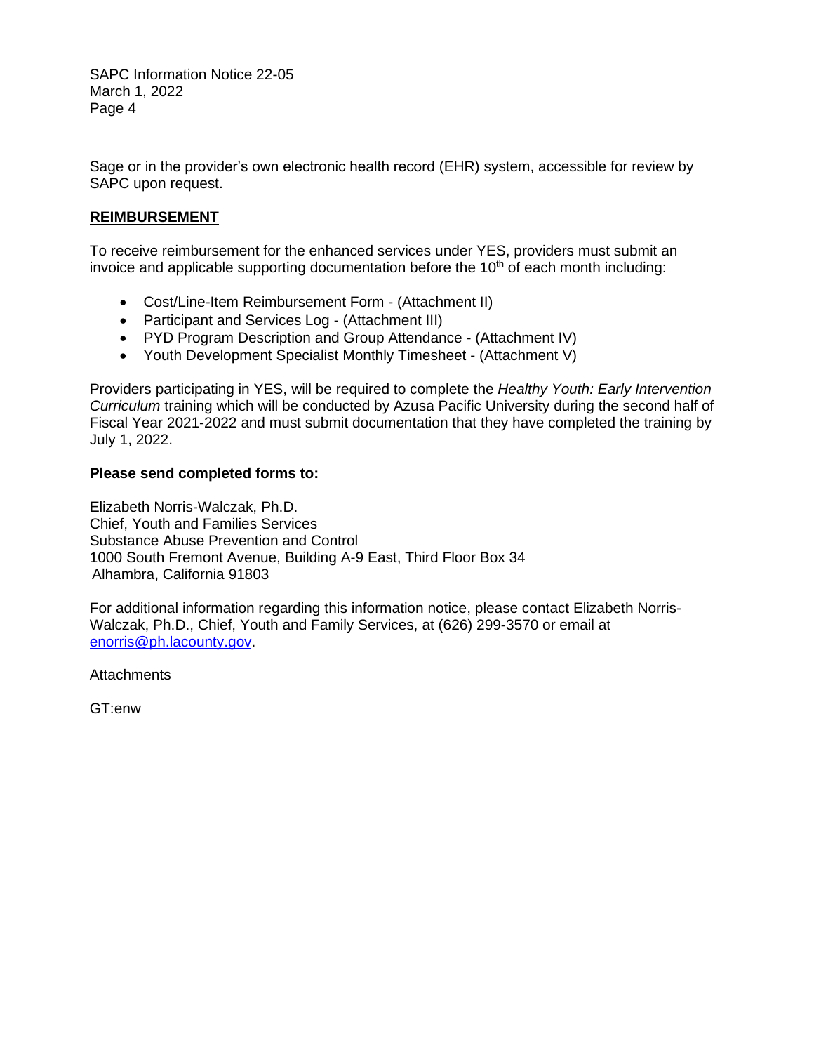SAPC Information Notice 22-05 March 1, 2022 Page 4

Sage or in the provider's own electronic health record (EHR) system, accessible for review by SAPC upon request.

### **REIMBURSEMENT**

To receive reimbursement for the enhanced services under YES, providers must submit an invoice and applicable supporting documentation before the  $10<sup>th</sup>$  of each month including:

- Cost/Line-Item Reimbursement Form (Attachment II)
- Participant and Services Log (Attachment III)
- PYD Program Description and Group Attendance (Attachment IV)
- Youth Development Specialist Monthly Timesheet (Attachment V)

Providers participating in YES, will be required to complete the *Healthy Youth: Early Intervention Curriculum* training which will be conducted by Azusa Pacific University during the second half of Fiscal Year 2021-2022 and must submit documentation that they have completed the training by July 1, 2022.

#### **Please send completed forms to:**

Elizabeth Norris-Walczak, Ph.D. Chief, Youth and Families Services Substance Abuse Prevention and Control 1000 South Fremont Avenue, Building A-9 East, Third Floor Box 34 Alhambra, California 91803

For additional information regarding this information notice, please contact Elizabeth Norris-Walczak, Ph.D., Chief, Youth and Family Services, at (626) 299-3570 or email at [enorris@ph.lacounty.gov.](mailto:enorris@ph.lacounty.gov)

**Attachments** 

GT:enw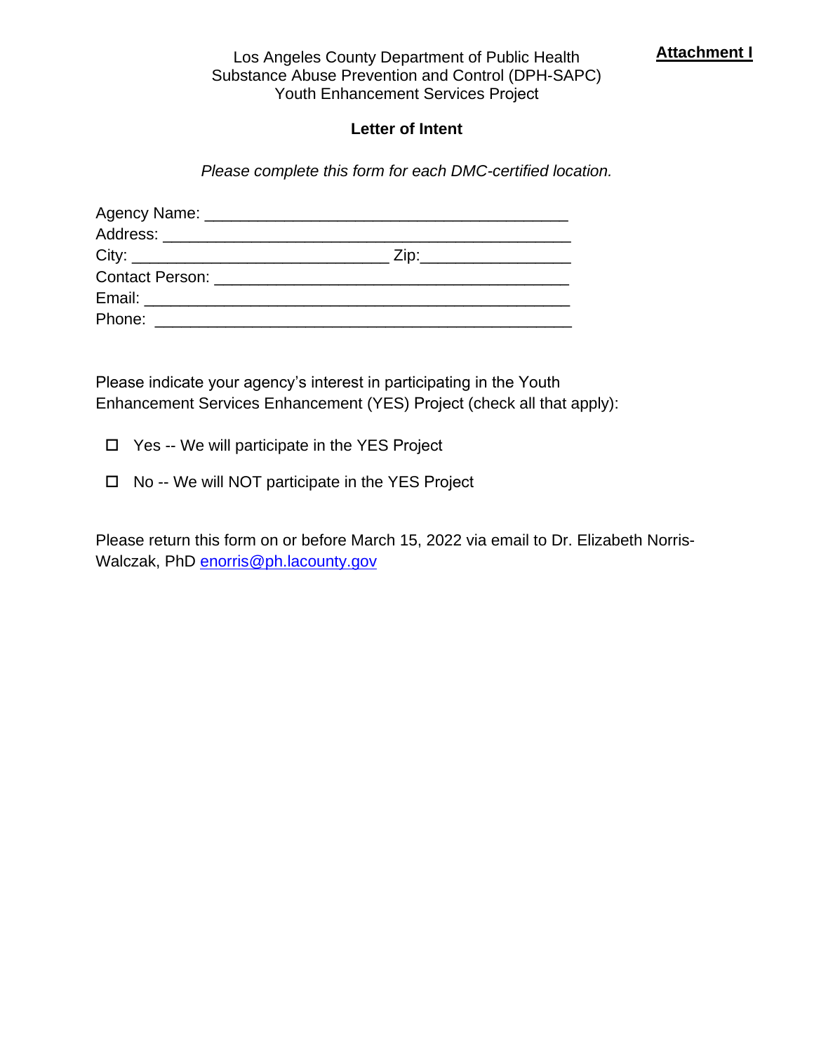# Los Angeles County Department of Public Health **Attachment I** Substance Abuse Prevention and Control (DPH-SAPC) Youth Enhancement Services Project

# **Letter of Intent**

*Please complete this form for each DMC-certified location.* 

| Phone: <u>_________________________</u> |  |
|-----------------------------------------|--|

Please indicate your agency's interest in participating in the Youth Enhancement Services Enhancement (YES) Project (check all that apply):

□ Yes -- We will participate in the YES Project

 $\Box$  No -- We will NOT participate in the YES Project

Please return this form on or before March 15, 2022 via email to Dr. Elizabeth NorrisWalczak, PhD [enorris@ph.lacounty.gov](about:blank)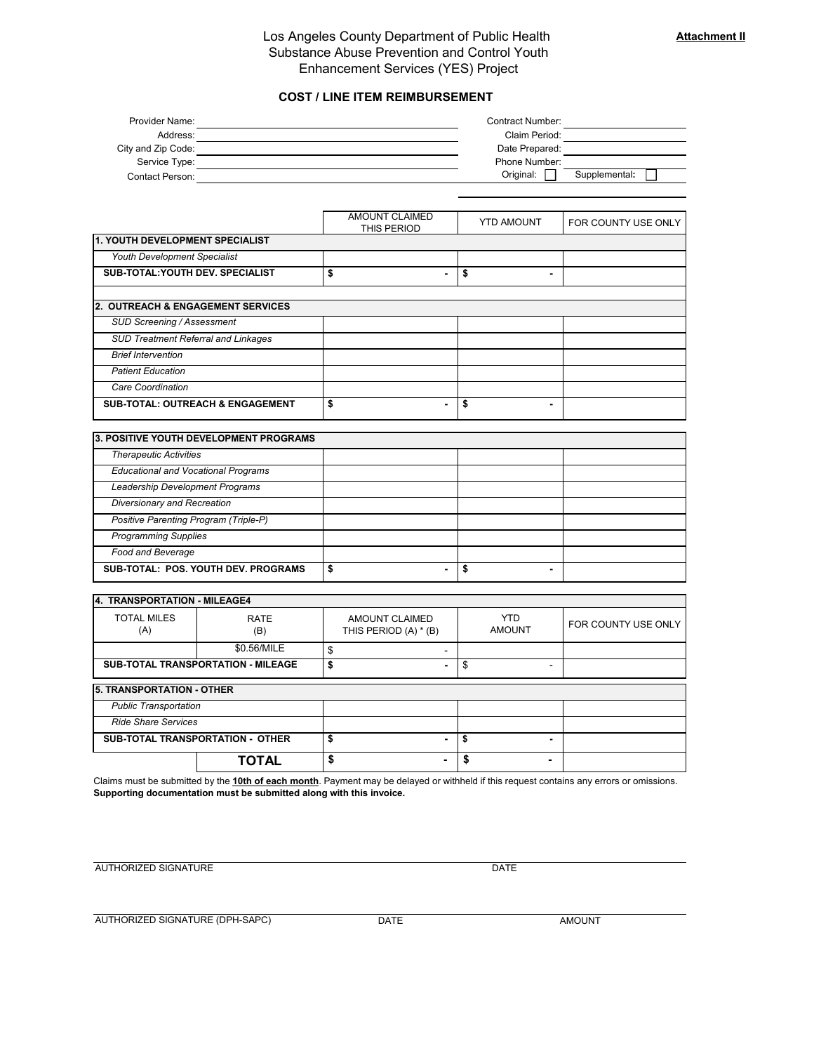#### Los Angeles County Department of Public Health Substance Abuse Prevention and Control Youth Enhancement Services (YES) Project

#### **COST / LINE ITEM REIMBURSEMENT**

| Provider Name:     | Contract Number: |               |
|--------------------|------------------|---------------|
| Address:           | Claim Period:    |               |
| City and Zip Code: | Date Prepared:   |               |
| Service Type:      | Phone Number:    |               |
| Contact Person:    | Original:        | Supplemental: |

|                                              | <b>AMOUNT CLAIMED</b><br>THIS PERIOD | <b>YTD AMOUNT</b> | FOR COUNTY USE ONLY |
|----------------------------------------------|--------------------------------------|-------------------|---------------------|
| <b>1. YOUTH DEVELOPMENT SPECIALIST</b>       |                                      |                   |                     |
| Youth Development Specialist                 |                                      |                   |                     |
| <b>SUB-TOTAL: YOUTH DEV. SPECIALIST</b>      | \$<br>$\overline{\phantom{0}}$       | \$                |                     |
|                                              |                                      |                   |                     |
| <b>2. OUTREACH &amp; ENGAGEMENT SERVICES</b> |                                      |                   |                     |
| <b>SUD Screening / Assessment</b>            |                                      |                   |                     |
| <b>SUD Treatment Referral and Linkages</b>   |                                      |                   |                     |
| <b>Brief Intervention</b>                    |                                      |                   |                     |
| <b>Patient Education</b>                     |                                      |                   |                     |
| Care Coordination                            |                                      |                   |                     |
| <b>SUB-TOTAL: OUTREACH &amp; ENGAGEMENT</b>  | \$<br>$\overline{\phantom{0}}$       | \$                |                     |

| 3. POSITIVE YOUTH DEVELOPMENT PROGRAMS     |        |                |   |  |  |
|--------------------------------------------|--------|----------------|---|--|--|
| <b>Therapeutic Activities</b>              |        |                |   |  |  |
| <b>Educational and Vocational Programs</b> |        |                |   |  |  |
| Leadership Development Programs            |        |                |   |  |  |
| Diversionary and Recreation                |        |                |   |  |  |
| Positive Parenting Program (Triple-P)      |        |                |   |  |  |
| <b>Programming Supplies</b>                |        |                |   |  |  |
| Food and Beverage                          |        |                |   |  |  |
| SUB-TOTAL: POS, YOUTH DEV, PROGRAMS        | œ<br>ъ | $\blacksquare$ | s |  |  |

| 4. TRANSPORTATION - MILEAGE4              |                    |                                         |                             |                     |
|-------------------------------------------|--------------------|-----------------------------------------|-----------------------------|---------------------|
| <b>TOTAL MILES</b><br>(A)                 | <b>RATE</b><br>(B) | AMOUNT CLAIMED<br>THIS PERIOD (A) * (B) | <b>YTD</b><br><b>AMOUNT</b> | FOR COUNTY USE ONLY |
|                                           | \$0.56/MILE        | -                                       |                             |                     |
| <b>SUB-TOTAL TRANSPORTATION - MILEAGE</b> |                    | \$<br>$\blacksquare$                    | \$                          |                     |
| <b>5. TRANSPORTATION - OTHER</b>          |                    |                                         |                             |                     |
| <b>Public Transportation</b>              |                    |                                         |                             |                     |
| <b>Ride Share Services</b>                |                    |                                         |                             |                     |
| <b>SUB-TOTAL TRANSPORTATION - OTHER</b>   |                    | $\blacksquare$                          | S                           |                     |
|                                           | <b>TOTAL</b>       | ۰                                       | S                           |                     |

Claims must be submitted by the **10th of each month**. Payment may be delayed or withheld if this request contains any errors or omissions. **Supporting documentation must be submitted along with this invoice.**

AUTHORIZED SIGNATURE DATE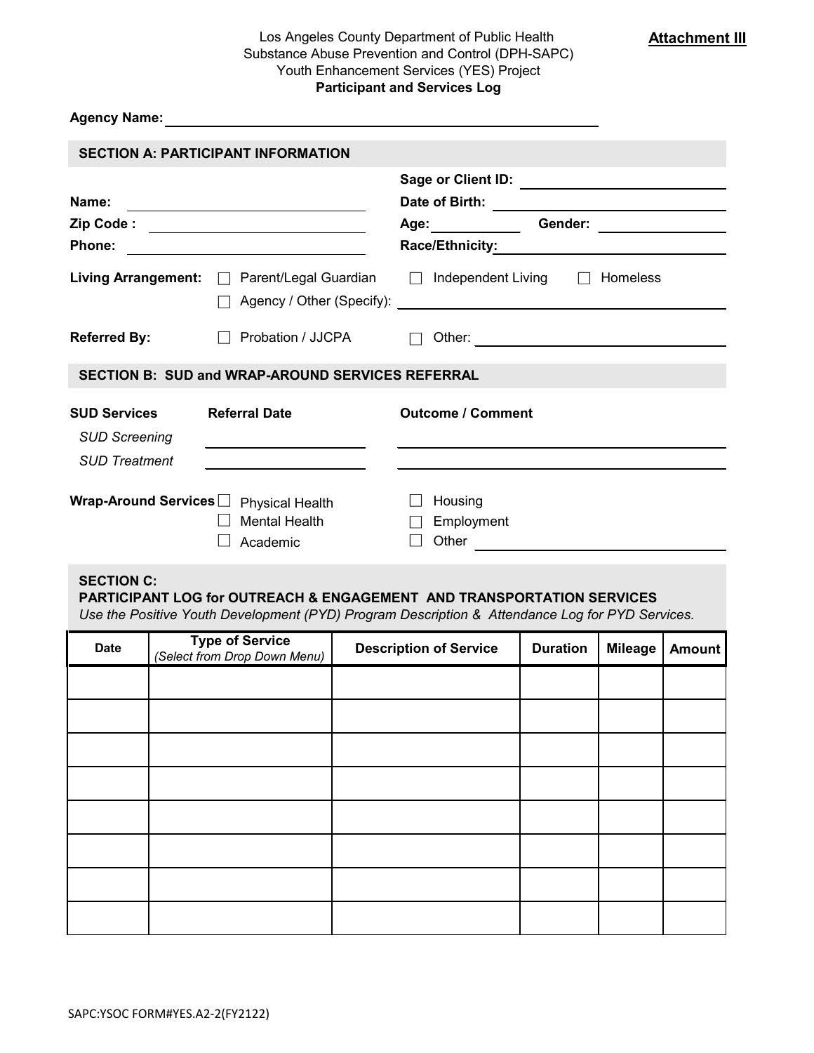# Los Angeles County Department of Public Health Substance Abuse Prevention and Control (DPH-SAPC) Youth Enhancement Services (YES) Project **Participant and Services Log**

**Attachment III**

# **Agency Name:**

| Name:                                                               |                                                                                                                   | <b>Sage or Client ID:</b><br>Date of Birth:                                                                                                                                                                                   | <u> 1990 - Johann Barbara, martin amerikan basar da</u> |          |
|---------------------------------------------------------------------|-------------------------------------------------------------------------------------------------------------------|-------------------------------------------------------------------------------------------------------------------------------------------------------------------------------------------------------------------------------|---------------------------------------------------------|----------|
| Zip Code :                                                          | <u> 1989 - Andrea State Barbara, poeta esp</u>                                                                    | Age: and the set of the set of the set of the set of the set of the set of the set of the set of the set of the set of the set of the set of the set of the set of the set of the set of the set of the set of the set of the | Gender:                                                 |          |
| Phone:                                                              |                                                                                                                   | Race/Ethnicity:                                                                                                                                                                                                               |                                                         |          |
|                                                                     | Living Arrangement: □ Parent/Legal Guardian                                                                       | Independent Living                                                                                                                                                                                                            |                                                         | Homeless |
| <b>Referred By:</b>                                                 | Probation / JJCPA                                                                                                 | Other:                                                                                                                                                                                                                        |                                                         |          |
|                                                                     | <b>SECTION B: SUD and WRAP-AROUND SERVICES REFERRAL</b>                                                           |                                                                                                                                                                                                                               |                                                         |          |
| <b>SUD Services</b><br><b>SUD Screening</b><br><b>SUD Treatment</b> | <b>Referral Date</b><br><u> 1989 - Johann Barbara, martin amerikan ba</u>                                         | <b>Outcome / Comment</b>                                                                                                                                                                                                      |                                                         |          |
| Wrap-Around Services $\Box$                                         | the contract of the contract of the contract of the<br><b>Physical Health</b><br><b>Mental Health</b><br>Academic | Housing<br>Employment<br>Other                                                                                                                                                                                                |                                                         |          |

# **SECTION C:**

# **PARTICIPANT LOG for OUTREACH & ENGAGEMENT AND TRANSPORTATION SERVICES**

*Use the Positive Youth Development (PYD) Program Description & Attendance Log for PYD Services.*

| <b>Date</b> | <b>Type of Service</b><br>(Select from Drop Down Menu) | <b>Description of Service</b> | <b>Duration</b> | <b>Mileage</b> | <b>Amount</b> |
|-------------|--------------------------------------------------------|-------------------------------|-----------------|----------------|---------------|
|             |                                                        |                               |                 |                |               |
|             |                                                        |                               |                 |                |               |
|             |                                                        |                               |                 |                |               |
|             |                                                        |                               |                 |                |               |
|             |                                                        |                               |                 |                |               |
|             |                                                        |                               |                 |                |               |
|             |                                                        |                               |                 |                |               |
|             |                                                        |                               |                 |                |               |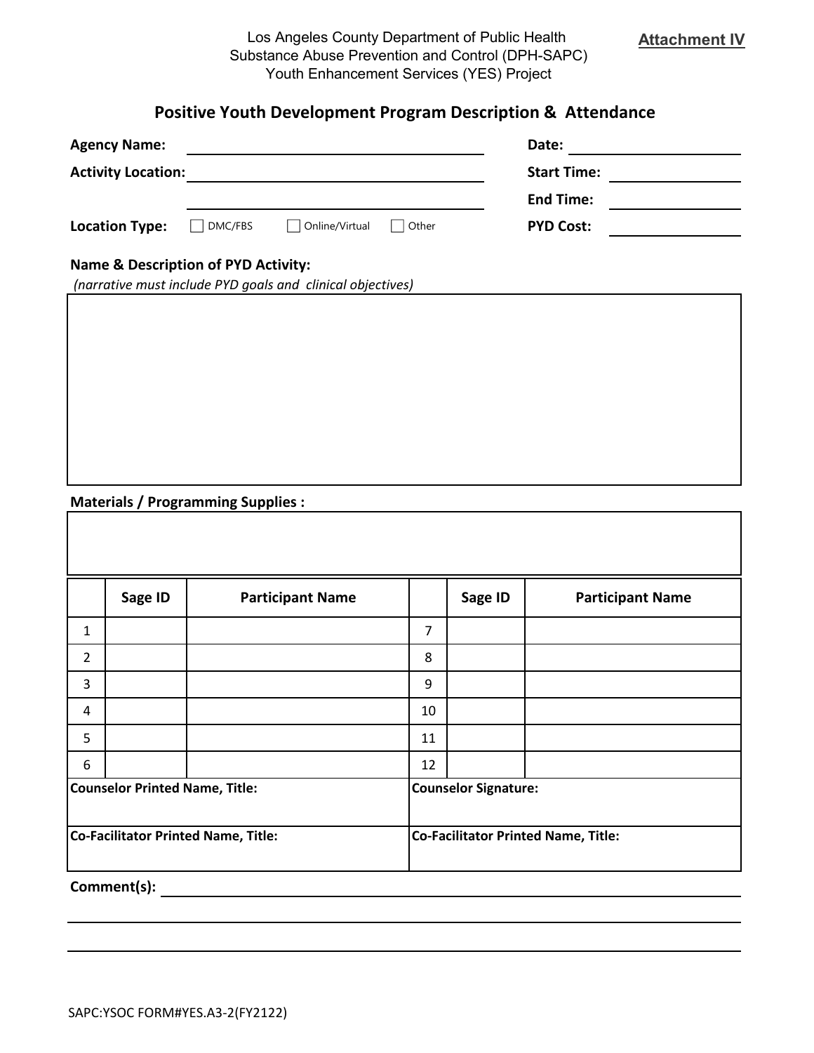# **Positive Youth Development Program Description & Attendance**

| <b>Agency Name:</b>       |         |                |       | Date:              |  |
|---------------------------|---------|----------------|-------|--------------------|--|
| <b>Activity Location:</b> |         |                |       | <b>Start Time:</b> |  |
|                           |         |                |       | <b>End Time:</b>   |  |
| <b>Location Type:</b>     | DMC/FBS | Online/Virtual | Other | <b>PYD Cost:</b>   |  |
|                           |         |                |       |                    |  |

# **Name & Description of PYD Activity:**

| (narrative must include PYD goals and clinical objectives) |
|------------------------------------------------------------|
|------------------------------------------------------------|

# **Materials / Programming Supplies :**

|                                            | Sage ID | <b>Participant Name</b> |                                            | Sage ID | <b>Participant Name</b> |
|--------------------------------------------|---------|-------------------------|--------------------------------------------|---------|-------------------------|
| 1                                          |         |                         | $\overline{7}$                             |         |                         |
| $\overline{2}$                             |         |                         | 8                                          |         |                         |
| 3                                          |         |                         | 9                                          |         |                         |
| 4                                          |         |                         | 10                                         |         |                         |
| 5                                          |         |                         | 11                                         |         |                         |
| 6                                          |         |                         | 12                                         |         |                         |
| <b>Counselor Printed Name, Title:</b>      |         |                         | <b>Counselor Signature:</b>                |         |                         |
| <b>Co-Facilitator Printed Name, Title:</b> |         |                         | <b>Co-Facilitator Printed Name, Title:</b> |         |                         |